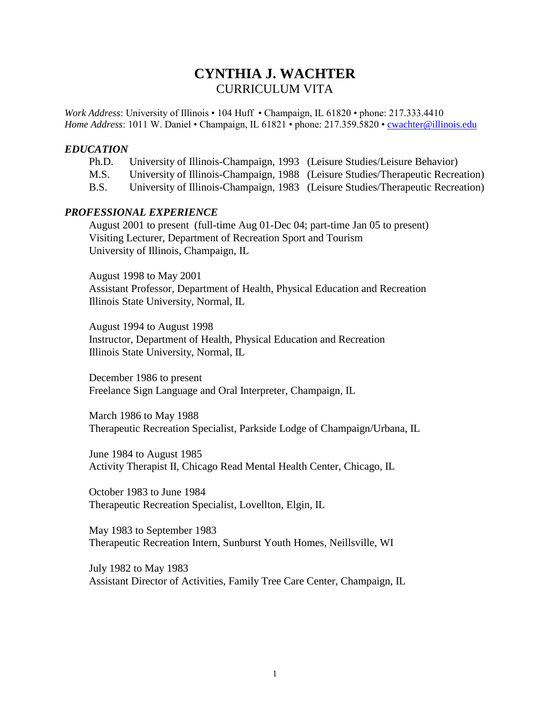# **CYNTHIA J. WACHTER** CURRICULUM VITA

*Work Address*: University of Illinois • 104 Huff • Champaign, IL 61820 • phone: 217.333.4410 *Home Address*: 1011 W. Daniel • Champaign, IL 61821 • phone: 217.359.5820 • **cwachter@illinois.edu** 

### *EDUCATION*

- Ph.D. University of Illinois-Champaign, 1993 (Leisure Studies/Leisure Behavior)
- M.S. University of Illinois-Champaign, 1988 (Leisure Studies/Therapeutic Recreation)
- B.S. University of Illinois-Champaign, 1983 (Leisure Studies/Therapeutic Recreation)

# *PROFESSIONAL EXPERIENCE*

August 2001 to present (full-time Aug 01-Dec 04; part-time Jan 05 to present) Visiting Lecturer, Department of Recreation Sport and Tourism University of Illinois, Champaign, IL

August 1998 to May 2001 Assistant Professor, Department of Health, Physical Education and Recreation Illinois State University, Normal, IL

August 1994 to August 1998 Instructor, Department of Health, Physical Education and Recreation Illinois State University, Normal, IL

December 1986 to present Freelance Sign Language and Oral Interpreter, Champaign, IL

March 1986 to May 1988 Therapeutic Recreation Specialist, Parkside Lodge of Champaign/Urbana, IL

June 1984 to August 1985 Activity Therapist II, Chicago Read Mental Health Center, Chicago, IL

October 1983 to June 1984 Therapeutic Recreation Specialist, Lovellton, Elgin, IL

May 1983 to September 1983 Therapeutic Recreation Intern, Sunburst Youth Homes, Neillsville, WI

July 1982 to May 1983 Assistant Director of Activities, Family Tree Care Center, Champaign, IL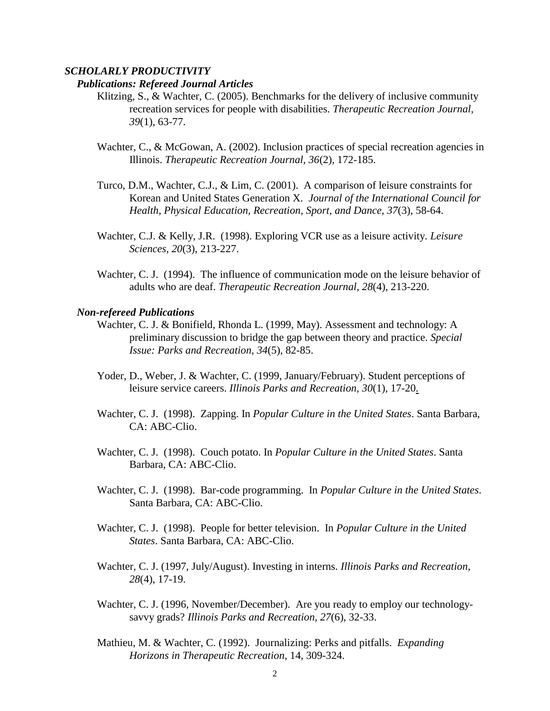# *SCHOLARLY PRODUCTIVITY*

#### *Publications: Refereed Journal Articles*

- Klitzing, S., & Wachter, C. (2005). Benchmarks for the delivery of inclusive community recreation services for people with disabilities. *Therapeutic Recreation Journal, 39*(1), 63-77.
- Wachter, C., & McGowan, A. (2002). Inclusion practices of special recreation agencies in Illinois. *Therapeutic Recreation Journal, 36*(2)*,* 172-185.
- Turco, D.M., Wachter, C.J., & Lim, C. (2001). A comparison of leisure constraints for Korean and United States Generation X. *Journal of the International Council for Health, Physical Education, Recreation, Sport, and Dance, 37*(3), 58-64.
- Wachter, C.J. & Kelly, J.R. (1998). Exploring VCR use as a leisure activity. *Leisure Sciences, 20*(3), 213-227.
- Wachter, C. J. (1994). The influence of communication mode on the leisure behavior of adults who are deaf. *Therapeutic Recreation Journal, 28*(4), 213-220.

#### *Non-refereed Publications*

- Wachter, C. J. & Bonifield, Rhonda L. (1999, May). Assessment and technology: A preliminary discussion to bridge the gap between theory and practice. *Special Issue: Parks and Recreation, 34*(5), 82-85.
- Yoder, D., Weber, J. & Wachter, C. (1999, January/February). Student perceptions of leisure service careers. *Illinois Parks and Recreation, 30*(1), 17-20.
- Wachter, C. J. (1998). Zapping. In *Popular Culture in the United States*. Santa Barbara, CA: ABC-Clio.
- Wachter, C. J. (1998). Couch potato. In *Popular Culture in the United States*. Santa Barbara, CA: ABC-Clio.
- Wachter, C. J. (1998). Bar-code programming. In *Popular Culture in the United States*. Santa Barbara, CA: ABC-Clio.
- Wachter, C. J. (1998). People for better television. In *Popular Culture in the United States*. Santa Barbara, CA: ABC-Clio.
- Wachter, C. J. (1997, July/August). Investing in interns. *Illinois Parks and Recreation, 28*(4), 17-19.
- Wachter, C. J. (1996, November/December). Are you ready to employ our technologysavvy grads? *Illinois Parks and Recreation, 27*(6), 32-33.
- Mathieu, M. & Wachter, C. (1992). Journalizing: Perks and pitfalls. *Expanding Horizons in Therapeutic Recreation*, 14, 309-324.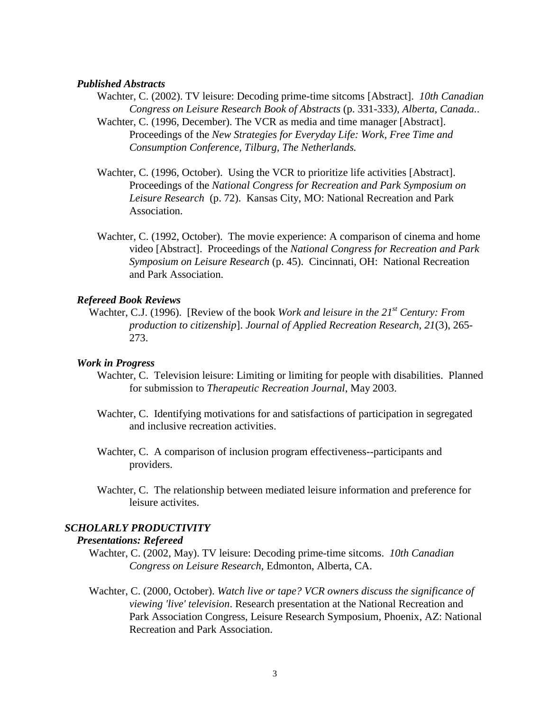# *Published Abstracts*

- Wachter, C. (2002). TV leisure: Decoding prime-time sitcoms [Abstract]. *10th Canadian Congress on Leisure Research Book of Abstracts* (p. 331-333*), Alberta, Canada.*.
- Wachter, C. (1996, December). The VCR as media and time manager [Abstract]. Proceedings of the *New Strategies for Everyday Life: Work, Free Time and Consumption Conference, Tilburg, The Netherlands.*
- Wachter, C. (1996, October). Using the VCR to prioritize life activities [Abstract]. Proceedings of the *National Congress for Recreation and Park Symposium on Leisure Research* (p. 72). Kansas City, MO: National Recreation and Park Association.
- Wachter, C. (1992, October). The movie experience: A comparison of cinema and home video [Abstract]. Proceedings of the *National Congress for Recreation and Park Symposium on Leisure Research* (p. 45). Cincinnati, OH: National Recreation and Park Association.

### *Refereed Book Reviews*

Wachter, C.J. (1996). [Review of the book *Work and leisure in the 21st Century: From production to citizenship*]. *Journal of Applied Recreation Research, 21*(3), 265- 273.

#### *Work in Progress*

- Wachter, C. Television leisure: Limiting or limiting for people with disabilities. Planned for submission to *Therapeutic Recreation Journal*, May 2003.
- Wachter, C. Identifying motivations for and satisfactions of participation in segregated and inclusive recreation activities.
- Wachter, C. A comparison of inclusion program effectiveness--participants and providers.
- Wachter, C. The relationship between mediated leisure information and preference for leisure activites.

# *SCHOLARLY PRODUCTIVITY*

# *Presentations: Refereed*

- Wachter, C. (2002, May). TV leisure: Decoding prime-time sitcoms. *10th Canadian Congress on Leisure Research,* Edmonton, Alberta, CA.
- Wachter, C. (2000, October). *Watch live or tape? VCR owners discuss the significance of viewing 'live' television*. Research presentation at the National Recreation and Park Association Congress, Leisure Research Symposium, Phoenix, AZ: National Recreation and Park Association.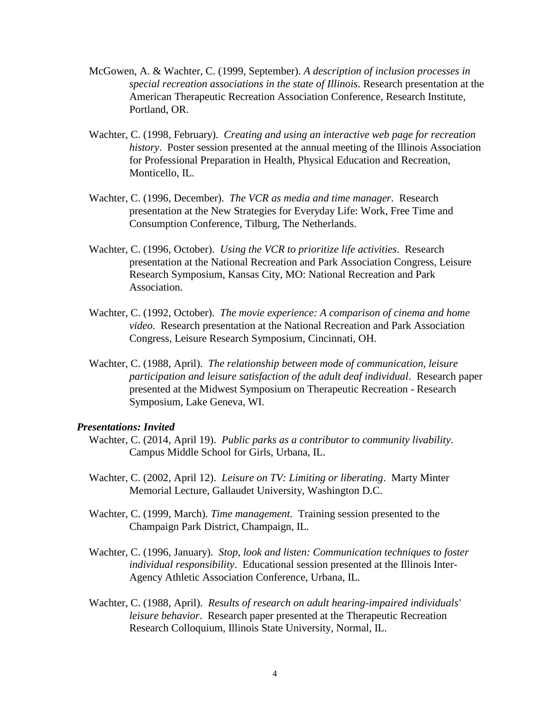- McGowen, A. & Wachter, C. (1999, September). *A description of inclusion processes in special recreation associations in the state of Illinois*. Research presentation at the American Therapeutic Recreation Association Conference, Research Institute, Portland, OR.
- Wachter, C. (1998, February). *Creating and using an interactive web page for recreation history*. Poster session presented at the annual meeting of the Illinois Association for Professional Preparation in Health, Physical Education and Recreation, Monticello, IL.
- Wachter, C. (1996, December). *The VCR as media and time manager*. Research presentation at the New Strategies for Everyday Life: Work, Free Time and Consumption Conference, Tilburg, The Netherlands.
- Wachter, C. (1996, October). *Using the VCR to prioritize life activities*. Research presentation at the National Recreation and Park Association Congress, Leisure Research Symposium, Kansas City, MO: National Recreation and Park Association.
- Wachter, C. (1992, October). *The movie experience: A comparison of cinema and home video*. Research presentation at the National Recreation and Park Association Congress, Leisure Research Symposium, Cincinnati, OH.
- Wachter, C. (1988, April). *The relationship between mode of communication, leisure participation and leisure satisfaction of the adult deaf individual*. Research paper presented at the Midwest Symposium on Therapeutic Recreation - Research Symposium, Lake Geneva, WI.

#### *Presentations: Invited*

- Wachter, C. (2014, April 19).*Public parks as a contributor to community livability*. Campus Middle School for Girls, Urbana, IL.
- Wachter, C. (2002, April 12). *Leisure on TV: Limiting or liberating*. Marty Minter Memorial Lecture, Gallaudet University, Washington D.C.
- Wachter, C. (1999, March). *Time management*. Training session presented to the Champaign Park District, Champaign, IL.
- Wachter, C. (1996, January). *Stop, look and listen: Communication techniques to foster individual responsibility*. Educational session presented at the Illinois Inter-Agency Athletic Association Conference, Urbana, IL.
- Wachter, C. (1988, April). *Results of research on adult hearing-impaired individuals' leisure behavior*. Research paper presented at the Therapeutic Recreation Research Colloquium, Illinois State University, Normal, IL.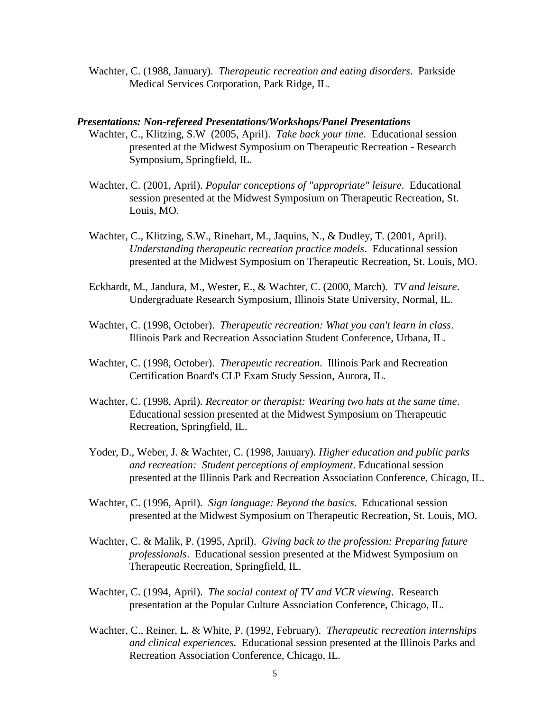Wachter, C. (1988, January). *Therapeutic recreation and eating disorders*. Parkside Medical Services Corporation, Park Ridge, IL.

#### *Presentations: Non-refereed Presentations/Workshops/Panel Presentations*

- Wachter, C., Klitzing, S.W (2005, April). *Take back your time*. Educational session presented at the Midwest Symposium on Therapeutic Recreation - Research Symposium, Springfield, IL.
- Wachter, C. (2001, April). *Popular conceptions of "appropriate" leisure*. Educational session presented at the Midwest Symposium on Therapeutic Recreation, St. Louis, MO.
- Wachter, C., Klitzing, S.W., Rinehart, M., Jaquins, N., & Dudley, T. (2001, April). *Understanding therapeutic recreation practice models*. Educational session presented at the Midwest Symposium on Therapeutic Recreation, St. Louis, MO.
- Eckhardt, M., Jandura, M., Wester, E., & Wachter, C. (2000, March). *TV and leisure*. Undergraduate Research Symposium, Illinois State University, Normal, IL.
- Wachter, C. (1998, October). *Therapeutic recreation: What you can't learn in class*. Illinois Park and Recreation Association Student Conference, Urbana, IL.
- Wachter, C. (1998, October). *Therapeutic recreation*. Illinois Park and Recreation Certification Board's CLP Exam Study Session, Aurora, IL.
- Wachter, C. (1998, April). *Recreator or therapist: Wearing two hats at the same time*. Educational session presented at the Midwest Symposium on Therapeutic Recreation, Springfield, IL.
- Yoder, D., Weber, J. & Wachter, C. (1998, January). *Higher education and public parks and recreation: Student perceptions of employment*. Educational session presented at the Illinois Park and Recreation Association Conference, Chicago, IL.
- Wachter, C. (1996, April). *Sign language: Beyond the basics*. Educational session presented at the Midwest Symposium on Therapeutic Recreation, St. Louis, MO.
- Wachter, C. & Malik, P. (1995, April). *Giving back to the profession: Preparing future professionals*. Educational session presented at the Midwest Symposium on Therapeutic Recreation, Springfield, IL.
- Wachter, C. (1994, April). *The social context of TV and VCR viewing*. Research presentation at the Popular Culture Association Conference, Chicago, IL.
- Wachter, C., Reiner, L. & White, P. (1992, February). *Therapeutic recreation internships and clinical experiences.* Educational session presented at the Illinois Parks and Recreation Association Conference, Chicago, IL.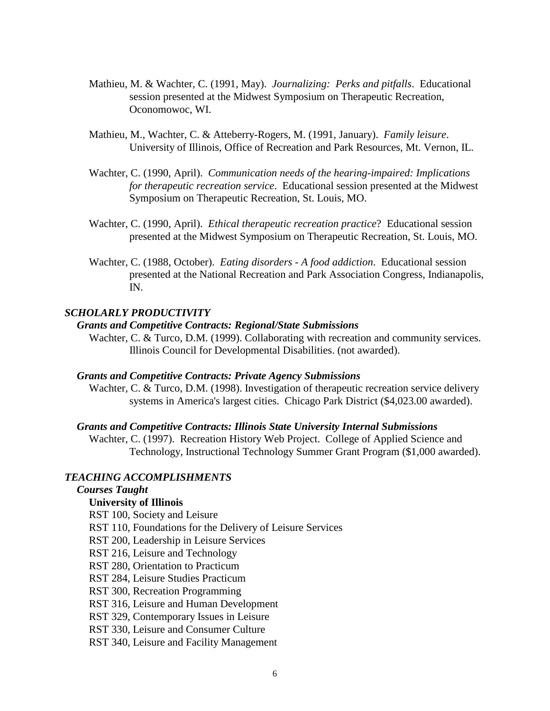- Mathieu, M. & Wachter, C. (1991, May). *Journalizing: Perks and pitfalls*. Educational session presented at the Midwest Symposium on Therapeutic Recreation, Oconomowoc, WI.
- Mathieu, M., Wachter, C. & Atteberry-Rogers, M. (1991, January). *Family leisure*. University of Illinois, Office of Recreation and Park Resources, Mt. Vernon, IL.
- Wachter, C. (1990, April). *Communication needs of the hearing-impaired: Implications for therapeutic recreation service*. Educational session presented at the Midwest Symposium on Therapeutic Recreation, St. Louis, MO.
- Wachter, C. (1990, April). *Ethical therapeutic recreation practice*? Educational session presented at the Midwest Symposium on Therapeutic Recreation, St. Louis, MO.
- Wachter, C. (1988, October). *Eating disorders - A food addiction*. Educational session presented at the National Recreation and Park Association Congress, Indianapolis, IN.

# *SCHOLARLY PRODUCTIVITY*

### *Grants and Competitive Contracts: Regional/State Submissions*

Wachter, C. & Turco, D.M. (1999). Collaborating with recreation and community services. Illinois Council for Developmental Disabilities. (not awarded).

# *Grants and Competitive Contracts: Private Agency Submissions*

Wachter, C. & Turco, D.M. (1998). Investigation of therapeutic recreation service delivery systems in America's largest cities. Chicago Park District (\$4,023.00 awarded).

#### *Grants and Competitive Contracts: Illinois State University Internal Submissions*

Wachter, C. (1997). Recreation History Web Project. College of Applied Science and Technology, Instructional Technology Summer Grant Program (\$1,000 awarded).

### *TEACHING ACCOMPLISHMENTS*

# *Courses Taught*

# **University of Illinois**

RST 100, Society and Leisure

- RST 110, Foundations for the Delivery of Leisure Services
- RST 200, Leadership in Leisure Services
- RST 216, Leisure and Technology
- RST 280, Orientation to Practicum
- RST 284, Leisure Studies Practicum

RST 300, Recreation Programming

RST 316, Leisure and Human Development

RST 329, Contemporary Issues in Leisure

RST 330, Leisure and Consumer Culture

RST 340, Leisure and Facility Management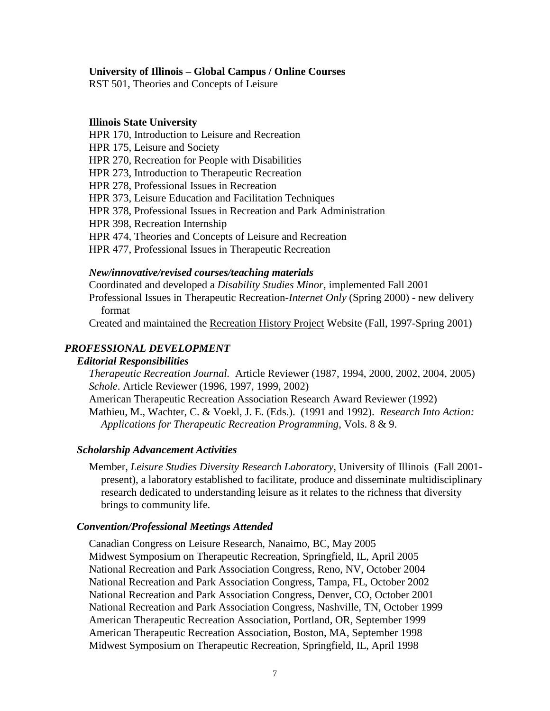### **University of Illinois – Global Campus / Online Courses**

RST 501, Theories and Concepts of Leisure

#### **Illinois State University**

HPR 170, Introduction to Leisure and Recreation HPR 175, Leisure and Society HPR 270, Recreation for People with Disabilities HPR 273, Introduction to Therapeutic Recreation HPR 278, Professional Issues in Recreation HPR 373, Leisure Education and Facilitation Techniques HPR 378, Professional Issues in Recreation and Park Administration HPR 398, Recreation Internship HPR 474, Theories and Concepts of Leisure and Recreation HPR 477, Professional Issues in Therapeutic Recreation

# *New/innovative/revised courses/teaching materials*

Coordinated and developed a *Disability Studies Minor,* implemented Fall 2001 Professional Issues in Therapeutic Recreation-*Internet Only* (Spring 2000) - new delivery format

Created and maintained the Recreation History Project Website (Fall, 1997-Spring 2001)

# *PROFESSIONAL DEVELOPMENT*

### *Editorial Responsibilities*

*Therapeutic Recreation Journal.* Article Reviewer (1987, 1994, 2000, 2002, 2004, 2005) *Schole*. Article Reviewer (1996, 1997, 1999, 2002)

American Therapeutic Recreation Association Research Award Reviewer (1992) Mathieu, M., Wachter, C. & Voekl, J. E. (Eds.). (1991 and 1992). *Research Into Action: Applications for Therapeutic Recreation Programming*, Vols. 8 & 9.

### *Scholarship Advancement Activities*

Member, *Leisure Studies Diversity Research Laboratory,* University of Illinois (Fall 2001 present), a laboratory established to facilitate, produce and disseminate multidisciplinary research dedicated to understanding leisure as it relates to the richness that diversity brings to community life.

### *Convention/Professional Meetings Attended*

Canadian Congress on Leisure Research, Nanaimo, BC, May 2005 Midwest Symposium on Therapeutic Recreation, Springfield, IL, April 2005 National Recreation and Park Association Congress, Reno, NV, October 2004 National Recreation and Park Association Congress, Tampa, FL, October 2002 National Recreation and Park Association Congress, Denver, CO, October 2001 National Recreation and Park Association Congress, Nashville, TN, October 1999 American Therapeutic Recreation Association, Portland, OR, September 1999 American Therapeutic Recreation Association, Boston, MA, September 1998 Midwest Symposium on Therapeutic Recreation, Springfield, IL, April 1998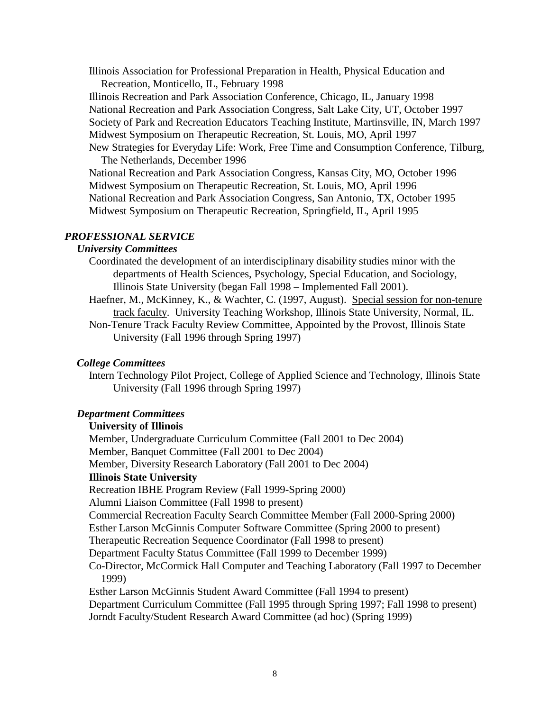Illinois Association for Professional Preparation in Health, Physical Education and Recreation, Monticello, IL, February 1998

Illinois Recreation and Park Association Conference, Chicago, IL, January 1998 National Recreation and Park Association Congress, Salt Lake City, UT, October 1997 Society of Park and Recreation Educators Teaching Institute, Martinsville, IN, March 1997 Midwest Symposium on Therapeutic Recreation, St. Louis, MO, April 1997 New Strategies for Everyday Life: Work, Free Time and Consumption Conference, Tilburg,

The Netherlands, December 1996 National Recreation and Park Association Congress, Kansas City, MO, October 1996 Midwest Symposium on Therapeutic Recreation, St. Louis, MO, April 1996 National Recreation and Park Association Congress, San Antonio, TX, October 1995 Midwest Symposium on Therapeutic Recreation, Springfield, IL, April 1995

### *PROFESSIONAL SERVICE*

# *University Committees*

Coordinated the development of an interdisciplinary disability studies minor with the departments of Health Sciences, Psychology, Special Education, and Sociology, Illinois State University (began Fall 1998 – Implemented Fall 2001).

- Haefner, M., McKinney, K., & Wachter, C. (1997, August). Special session for non-tenure track faculty. University Teaching Workshop, Illinois State University, Normal, IL.
- Non-Tenure Track Faculty Review Committee, Appointed by the Provost, Illinois State University (Fall 1996 through Spring 1997)

# *College Committees*

Intern Technology Pilot Project, College of Applied Science and Technology, Illinois State University (Fall 1996 through Spring 1997)

# *Department Committees*

### **University of Illinois**

Member, Undergraduate Curriculum Committee (Fall 2001 to Dec 2004) Member, Banquet Committee (Fall 2001 to Dec 2004) Member, Diversity Research Laboratory (Fall 2001 to Dec 2004) **Illinois State University**  Recreation IBHE Program Review (Fall 1999-Spring 2000) Alumni Liaison Committee (Fall 1998 to present) Commercial Recreation Faculty Search Committee Member (Fall 2000-Spring 2000) Esther Larson McGinnis Computer Software Committee (Spring 2000 to present) Therapeutic Recreation Sequence Coordinator (Fall 1998 to present) Department Faculty Status Committee (Fall 1999 to December 1999) Co-Director, McCormick Hall Computer and Teaching Laboratory (Fall 1997 to December 1999) Esther Larson McGinnis Student Award Committee (Fall 1994 to present) Department Curriculum Committee (Fall 1995 through Spring 1997; Fall 1998 to present) Jorndt Faculty/Student Research Award Committee (ad hoc) (Spring 1999)